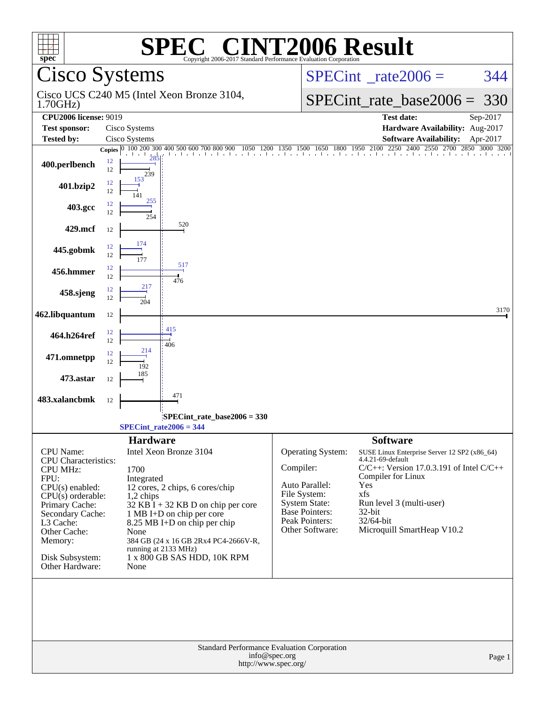| <b>NT2006 Result</b><br>$\bigcap$ $\mathbb{R}$ $\bigcap$<br>$spec^*$<br>Copyright 2006-2017 Standard Performance Evaluation Corporation |                                                              |                                                                                                 |  |  |  |  |
|-----------------------------------------------------------------------------------------------------------------------------------------|--------------------------------------------------------------|-------------------------------------------------------------------------------------------------|--|--|--|--|
| Cisco Systems                                                                                                                           |                                                              | $SPECint^{\circ}$ <sub>_rate2006</sub> =<br>344                                                 |  |  |  |  |
| 1.70GHz                                                                                                                                 | Cisco UCS C240 M5 (Intel Xeon Bronze 3104,                   | $SPECint_rate\_base2006 =$<br>330                                                               |  |  |  |  |
| <b>CPU2006 license: 9019</b><br><b>Test sponsor:</b>                                                                                    | Cisco Systems                                                | <b>Test date:</b><br>Sep-2017<br>Hardware Availability: Aug-2017                                |  |  |  |  |
| <b>Tested by:</b>                                                                                                                       | Cisco Systems                                                | <b>Software Availability:</b><br>Apr-2017                                                       |  |  |  |  |
|                                                                                                                                         | Copies 0 100 200 300 400 500 600 700 800 900<br>1050<br>1200 | $\frac{0}{1500}$ 1650 1800 1950 2100 2250 2400 2550 270<br>2700<br>3200<br>1350<br>2850<br>3000 |  |  |  |  |
| 400.perlbench                                                                                                                           | 12<br>12<br>239<br>153                                       |                                                                                                 |  |  |  |  |
| 401.bzip2                                                                                                                               | 12<br>12<br>255                                              |                                                                                                 |  |  |  |  |
| 403.gcc                                                                                                                                 | 12<br>12                                                     |                                                                                                 |  |  |  |  |
| 429.mcf                                                                                                                                 | 520<br>12                                                    |                                                                                                 |  |  |  |  |
| 445.gobmk                                                                                                                               | 12<br>12<br>517                                              |                                                                                                 |  |  |  |  |
| 456.hmmer                                                                                                                               | 12<br>12<br>476                                              |                                                                                                 |  |  |  |  |
| 458.sjeng                                                                                                                               | 12<br>12                                                     |                                                                                                 |  |  |  |  |
| 462.libquantum                                                                                                                          | 12<br>415                                                    | 3170                                                                                            |  |  |  |  |
| 464.h264ref                                                                                                                             | 12<br>12<br>406                                              |                                                                                                 |  |  |  |  |
| 471.omnetpp                                                                                                                             | 12<br>12                                                     |                                                                                                 |  |  |  |  |
| 473.astar                                                                                                                               | 12<br>471                                                    |                                                                                                 |  |  |  |  |
| 483.xalancbmk                                                                                                                           | 12                                                           |                                                                                                 |  |  |  |  |
|                                                                                                                                         | SPECint_rate_base2006 = 330<br>$SPECint_rate2006 = 344$      |                                                                                                 |  |  |  |  |
|                                                                                                                                         | <b>Hardware</b>                                              | <b>Software</b>                                                                                 |  |  |  |  |
| CPU Name:                                                                                                                               | Intel Xeon Bronze 3104                                       | Operating System:<br>SUSE Linux Enterprise Server 12 SP2 (x86_64)                               |  |  |  |  |
| <b>CPU</b> Characteristics:                                                                                                             |                                                              | 4.4.21-69-default<br>Compiler:                                                                  |  |  |  |  |
| <b>CPU MHz:</b><br>FPU:                                                                                                                 | 1700                                                         | $C/C++$ : Version 17.0.3.191 of Intel $C/C++$<br>Compiler for Linux                             |  |  |  |  |
| CPU(s) enabled:                                                                                                                         | Integrated<br>12 cores, 2 chips, 6 cores/chip                | Auto Parallel:<br>Yes                                                                           |  |  |  |  |
| $CPU(s)$ orderable:                                                                                                                     | 1,2 chips                                                    | File System:<br>xfs                                                                             |  |  |  |  |
| Primary Cache:                                                                                                                          | $32$ KB I + 32 KB D on chip per core                         | <b>System State:</b><br>Run level 3 (multi-user)<br>Base Pointers:<br>32-bit                    |  |  |  |  |
| Secondary Cache:<br>L3 Cache:                                                                                                           | 1 MB I+D on chip per core<br>8.25 MB I+D on chip per chip    | Peak Pointers:<br>32/64-bit                                                                     |  |  |  |  |
| Other Cache:                                                                                                                            | None                                                         | Other Software:<br>Microquill SmartHeap V10.2                                                   |  |  |  |  |
| Memory:                                                                                                                                 | 384 GB (24 x 16 GB 2Rx4 PC4-2666V-R,                         |                                                                                                 |  |  |  |  |
| Disk Subsystem:                                                                                                                         | running at 2133 MHz)<br>1 x 800 GB SAS HDD, 10K RPM          |                                                                                                 |  |  |  |  |
| Other Hardware:                                                                                                                         | None                                                         |                                                                                                 |  |  |  |  |
|                                                                                                                                         |                                                              |                                                                                                 |  |  |  |  |
| Standard Performance Evaluation Corporation<br>info@spec.org<br>Page 1<br>http://www.spec.org/                                          |                                                              |                                                                                                 |  |  |  |  |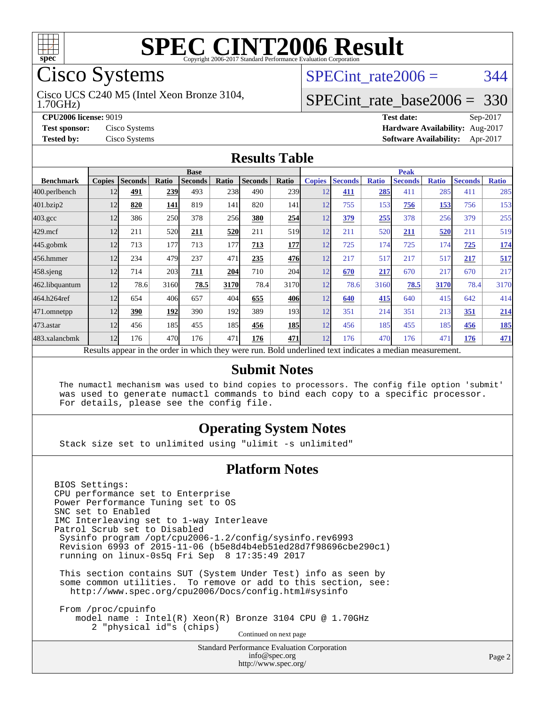

# Cisco Systems

1.70GHz) Cisco UCS C240 M5 (Intel Xeon Bronze 3104, SPECint rate $2006 = 344$ 

### [SPECint\\_rate\\_base2006 =](http://www.spec.org/auto/cpu2006/Docs/result-fields.html#SPECintratebase2006) 330

**[CPU2006 license:](http://www.spec.org/auto/cpu2006/Docs/result-fields.html#CPU2006license)** 9019 **[Test date:](http://www.spec.org/auto/cpu2006/Docs/result-fields.html#Testdate)** Sep-2017 **[Test sponsor:](http://www.spec.org/auto/cpu2006/Docs/result-fields.html#Testsponsor)** Cisco Systems **[Hardware Availability:](http://www.spec.org/auto/cpu2006/Docs/result-fields.html#HardwareAvailability)** Aug-2017 **[Tested by:](http://www.spec.org/auto/cpu2006/Docs/result-fields.html#Testedby)** Cisco Systems **[Software Availability:](http://www.spec.org/auto/cpu2006/Docs/result-fields.html#SoftwareAvailability)** Apr-2017

### **[Results Table](http://www.spec.org/auto/cpu2006/Docs/result-fields.html#ResultsTable)**

|                    | <b>Base</b>                                                                                              |                |       |                |            |                |            | <b>Peak</b>   |                |              |                |              |                |              |
|--------------------|----------------------------------------------------------------------------------------------------------|----------------|-------|----------------|------------|----------------|------------|---------------|----------------|--------------|----------------|--------------|----------------|--------------|
| <b>Benchmark</b>   | <b>Copies</b>                                                                                            | <b>Seconds</b> | Ratio | <b>Seconds</b> | Ratio      | <b>Seconds</b> | Ratio      | <b>Copies</b> | <b>Seconds</b> | <b>Ratio</b> | <b>Seconds</b> | <b>Ratio</b> | <b>Seconds</b> | <b>Ratio</b> |
| 400.perlbench      | 12                                                                                                       | 491            | 239   | 493            | <b>238</b> | 490            | 239        | 12            | 411            | 285          | 411            | 285          | 411            | 285          |
| 401.bzip2          | 12                                                                                                       | 820            | 141   | 819            | 141        | 820            | 141        | 12            | 755            | 153          | 756            | 153          | 756            | 153          |
| $403.\mathrm{gcc}$ | 12                                                                                                       | 386            | 250   | 378            | 256        | 380            | 254        | 12            | 379            | 255          | 378            | 256          | 379            | 255          |
| $429$ .mcf         | 12                                                                                                       | 211            | 520   | 211            | 520        | 211            | 519        | 12            | 211            | 520          | 211            | 520          | 211            | 519          |
| $445$ .gobmk       | 12                                                                                                       | 713            | 177   | 713            | 177        | 713            | 177        | 12            | 725            | 174          | 725            | 174          | 725            | <u>174</u>   |
| 456.hmmer          | 12                                                                                                       | 234            | 479   | 237            | 471        | 235            | 476        | 12            | 217            | 517          | 217            | 517          | 217            | 517          |
| $458$ .sjeng       | 12                                                                                                       | 714            | 203   | 711            | 204        | 710            | 204        | 12            | 670            | 217          | 670            | 217          | 670            | 217          |
| 462.libquantum     | 12                                                                                                       | 78.6           | 3160  | 78.5           | 3170       | 78.4           | 3170       | 12            | 78.6           | 3160         | 78.5           | 3170         | 78.4           | 3170         |
| 464.h264ref        | 12                                                                                                       | 654            | 406   | 657            | 404        | 655            | 406        | 12            | 640            | 415          | 640            | 415          | 642            | 414          |
| 471.omnetpp        | 12                                                                                                       | 390            | 192   | 390            | 192        | 389            | 193        | 12            | 351            | 214          | 351            | 213          | 351            | 214          |
| 473.astar          | 12                                                                                                       | 456            | 185   | 455            | 185        | 456            | <b>185</b> | 12            | 456            | 185          | 455            | 185          | 456            | <b>185</b>   |
| 483.xalancbmk      | 12                                                                                                       | 176            | 470   | 176            | 471        | 176            | 471        | 12            | 176            | 470          | 176            | 471          | 176            | 471          |
|                    | Results appear in the order in which they were run. Bold underlined text indicates a median measurement. |                |       |                |            |                |            |               |                |              |                |              |                |              |

### **[Submit Notes](http://www.spec.org/auto/cpu2006/Docs/result-fields.html#SubmitNotes)**

 The numactl mechanism was used to bind copies to processors. The config file option 'submit' was used to generate numactl commands to bind each copy to a specific processor. For details, please see the config file.

### **[Operating System Notes](http://www.spec.org/auto/cpu2006/Docs/result-fields.html#OperatingSystemNotes)**

Stack size set to unlimited using "ulimit -s unlimited"

### **[Platform Notes](http://www.spec.org/auto/cpu2006/Docs/result-fields.html#PlatformNotes)**

BIOS Settings: CPU performance set to Enterprise Power Performance Tuning set to OS SNC set to Enabled IMC Interleaving set to 1-way Interleave Patrol Scrub set to Disabled Sysinfo program /opt/cpu2006-1.2/config/sysinfo.rev6993 Revision 6993 of 2015-11-06 (b5e8d4b4eb51ed28d7f98696cbe290c1) running on linux-0s5q Fri Sep 8 17:35:49 2017 This section contains SUT (System Under Test) info as seen by some common utilities. To remove or add to this section, see: <http://www.spec.org/cpu2006/Docs/config.html#sysinfo>

 From /proc/cpuinfo model name : Intel(R) Xeon(R) Bronze 3104 CPU @ 1.70GHz 2 "physical id"s (chips) Continued on next page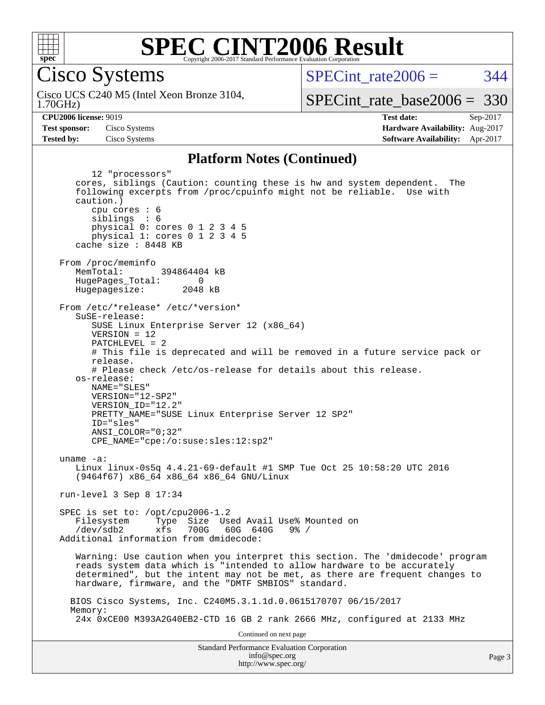

### **[SPEC CINT2006 Result](http://www.spec.org/auto/cpu2006/Docs/result-fields.html#SPECCINT2006Result)** Copyright 2006-2017 Standard Performance Evaluation Corporation

Cisco Systems

1.70GHz) Cisco UCS C240 M5 (Intel Xeon Bronze 3104, SPECint rate $2006 = 344$ 

[SPECint\\_rate\\_base2006 =](http://www.spec.org/auto/cpu2006/Docs/result-fields.html#SPECintratebase2006) 330

**[CPU2006 license:](http://www.spec.org/auto/cpu2006/Docs/result-fields.html#CPU2006license)** 9019 **[Test date:](http://www.spec.org/auto/cpu2006/Docs/result-fields.html#Testdate)** Sep-2017 **[Test sponsor:](http://www.spec.org/auto/cpu2006/Docs/result-fields.html#Testsponsor)** Cisco Systems **[Hardware Availability:](http://www.spec.org/auto/cpu2006/Docs/result-fields.html#HardwareAvailability)** Aug-2017 **[Tested by:](http://www.spec.org/auto/cpu2006/Docs/result-fields.html#Testedby)** Cisco Systems **[Software Availability:](http://www.spec.org/auto/cpu2006/Docs/result-fields.html#SoftwareAvailability)** Apr-2017

#### **[Platform Notes \(Continued\)](http://www.spec.org/auto/cpu2006/Docs/result-fields.html#PlatformNotes)**

Standard Performance Evaluation Corporation [info@spec.org](mailto:info@spec.org) <http://www.spec.org/> 12 "processors" cores, siblings (Caution: counting these is hw and system dependent. The following excerpts from /proc/cpuinfo might not be reliable. Use with caution.) cpu cores : 6 siblings : 6 physical 0: cores 0 1 2 3 4 5 physical 1: cores 0 1 2 3 4 5 cache size : 8448 KB From /proc/meminfo MemTotal: 394864404 kB HugePages\_Total: 0<br>Hugepagesize: 2048 kB Hugepagesize: From /etc/\*release\* /etc/\*version\* SuSE-release: SUSE Linux Enterprise Server 12 (x86\_64) VERSION = 12 PATCHLEVEL = 2 # This file is deprecated and will be removed in a future service pack or release. # Please check /etc/os-release for details about this release. os-release: NAME="SLES" VERSION="12-SP2" VERSION\_ID="12.2" PRETTY\_NAME="SUSE Linux Enterprise Server 12 SP2" ID="sles" ANSI\_COLOR="0;32" CPE\_NAME="cpe:/o:suse:sles:12:sp2" uname -a: Linux linux-0s5q 4.4.21-69-default #1 SMP Tue Oct 25 10:58:20 UTC 2016 (9464f67) x86\_64 x86\_64 x86\_64 GNU/Linux run-level 3 Sep 8 17:34 SPEC is set to: /opt/cpu2006-1.2 Filesystem Type Size Used Avail Use% Mounted on /dev/sdb2 xfs 700G 60G 640G 9% / Additional information from dmidecode: Warning: Use caution when you interpret this section. The 'dmidecode' program reads system data which is "intended to allow hardware to be accurately determined", but the intent may not be met, as there are frequent changes to hardware, firmware, and the "DMTF SMBIOS" standard. BIOS Cisco Systems, Inc. C240M5.3.1.1d.0.0615170707 06/15/2017 Memory: 24x 0xCE00 M393A2G40EB2-CTD 16 GB 2 rank 2666 MHz, configured at 2133 MHz Continued on next page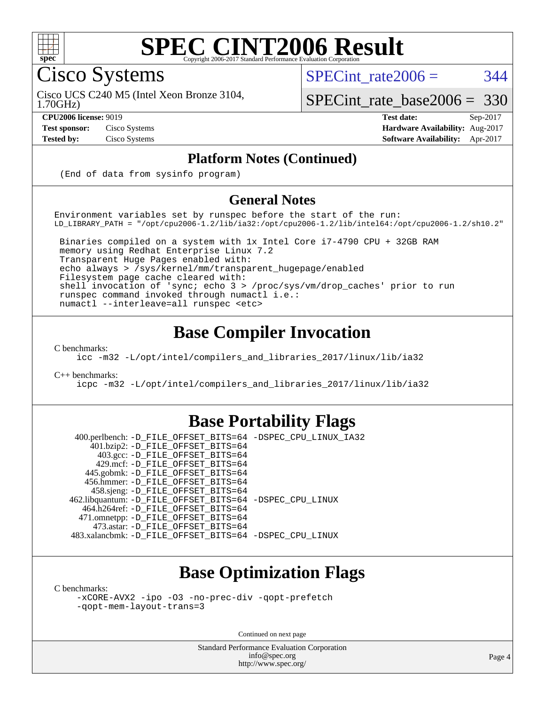

Cisco Systems

SPECint rate $2006 = 344$ 

1.70GHz) Cisco UCS C240 M5 (Intel Xeon Bronze 3104,

#### [SPECint\\_rate\\_base2006 =](http://www.spec.org/auto/cpu2006/Docs/result-fields.html#SPECintratebase2006) 330 **[CPU2006 license:](http://www.spec.org/auto/cpu2006/Docs/result-fields.html#CPU2006license)** 9019 **[Test date:](http://www.spec.org/auto/cpu2006/Docs/result-fields.html#Testdate)** Sep-2017

**[Test sponsor:](http://www.spec.org/auto/cpu2006/Docs/result-fields.html#Testsponsor)** Cisco Systems **[Hardware Availability:](http://www.spec.org/auto/cpu2006/Docs/result-fields.html#HardwareAvailability)** Aug-2017 **[Tested by:](http://www.spec.org/auto/cpu2006/Docs/result-fields.html#Testedby)** Cisco Systems **[Software Availability:](http://www.spec.org/auto/cpu2006/Docs/result-fields.html#SoftwareAvailability)** Apr-2017

### **[Platform Notes \(Continued\)](http://www.spec.org/auto/cpu2006/Docs/result-fields.html#PlatformNotes)**

(End of data from sysinfo program)

### **[General Notes](http://www.spec.org/auto/cpu2006/Docs/result-fields.html#GeneralNotes)**

Environment variables set by runspec before the start of the run: LD\_LIBRARY\_PATH = "/opt/cpu2006-1.2/lib/ia32:/opt/cpu2006-1.2/lib/intel64:/opt/cpu2006-1.2/sh10.2"

 Binaries compiled on a system with 1x Intel Core i7-4790 CPU + 32GB RAM memory using Redhat Enterprise Linux 7.2 Transparent Huge Pages enabled with: echo always > /sys/kernel/mm/transparent\_hugepage/enabled Filesystem page cache cleared with: shell invocation of 'sync; echo 3 > /proc/sys/vm/drop\_caches' prior to run runspec command invoked through numactl i.e.: numactl --interleave=all runspec <etc>

## **[Base Compiler Invocation](http://www.spec.org/auto/cpu2006/Docs/result-fields.html#BaseCompilerInvocation)**

[C benchmarks](http://www.spec.org/auto/cpu2006/Docs/result-fields.html#Cbenchmarks):

[icc -m32 -L/opt/intel/compilers\\_and\\_libraries\\_2017/linux/lib/ia32](http://www.spec.org/cpu2006/results/res2017q4/cpu2006-20170919-50243.flags.html#user_CCbase_intel_icc_c29f3ff5a7ed067b11e4ec10a03f03ae)

[C++ benchmarks:](http://www.spec.org/auto/cpu2006/Docs/result-fields.html#CXXbenchmarks)

[icpc -m32 -L/opt/intel/compilers\\_and\\_libraries\\_2017/linux/lib/ia32](http://www.spec.org/cpu2006/results/res2017q4/cpu2006-20170919-50243.flags.html#user_CXXbase_intel_icpc_8c35c7808b62dab9ae41a1aa06361b6b)

### **[Base Portability Flags](http://www.spec.org/auto/cpu2006/Docs/result-fields.html#BasePortabilityFlags)**

 400.perlbench: [-D\\_FILE\\_OFFSET\\_BITS=64](http://www.spec.org/cpu2006/results/res2017q4/cpu2006-20170919-50243.flags.html#user_basePORTABILITY400_perlbench_file_offset_bits_64_438cf9856305ebd76870a2c6dc2689ab) [-DSPEC\\_CPU\\_LINUX\\_IA32](http://www.spec.org/cpu2006/results/res2017q4/cpu2006-20170919-50243.flags.html#b400.perlbench_baseCPORTABILITY_DSPEC_CPU_LINUX_IA32) 401.bzip2: [-D\\_FILE\\_OFFSET\\_BITS=64](http://www.spec.org/cpu2006/results/res2017q4/cpu2006-20170919-50243.flags.html#user_basePORTABILITY401_bzip2_file_offset_bits_64_438cf9856305ebd76870a2c6dc2689ab) 403.gcc: [-D\\_FILE\\_OFFSET\\_BITS=64](http://www.spec.org/cpu2006/results/res2017q4/cpu2006-20170919-50243.flags.html#user_basePORTABILITY403_gcc_file_offset_bits_64_438cf9856305ebd76870a2c6dc2689ab) 429.mcf: [-D\\_FILE\\_OFFSET\\_BITS=64](http://www.spec.org/cpu2006/results/res2017q4/cpu2006-20170919-50243.flags.html#user_basePORTABILITY429_mcf_file_offset_bits_64_438cf9856305ebd76870a2c6dc2689ab) 445.gobmk: [-D\\_FILE\\_OFFSET\\_BITS=64](http://www.spec.org/cpu2006/results/res2017q4/cpu2006-20170919-50243.flags.html#user_basePORTABILITY445_gobmk_file_offset_bits_64_438cf9856305ebd76870a2c6dc2689ab) 456.hmmer: [-D\\_FILE\\_OFFSET\\_BITS=64](http://www.spec.org/cpu2006/results/res2017q4/cpu2006-20170919-50243.flags.html#user_basePORTABILITY456_hmmer_file_offset_bits_64_438cf9856305ebd76870a2c6dc2689ab) 458.sjeng: [-D\\_FILE\\_OFFSET\\_BITS=64](http://www.spec.org/cpu2006/results/res2017q4/cpu2006-20170919-50243.flags.html#user_basePORTABILITY458_sjeng_file_offset_bits_64_438cf9856305ebd76870a2c6dc2689ab) 462.libquantum: [-D\\_FILE\\_OFFSET\\_BITS=64](http://www.spec.org/cpu2006/results/res2017q4/cpu2006-20170919-50243.flags.html#user_basePORTABILITY462_libquantum_file_offset_bits_64_438cf9856305ebd76870a2c6dc2689ab) [-DSPEC\\_CPU\\_LINUX](http://www.spec.org/cpu2006/results/res2017q4/cpu2006-20170919-50243.flags.html#b462.libquantum_baseCPORTABILITY_DSPEC_CPU_LINUX) 464.h264ref: [-D\\_FILE\\_OFFSET\\_BITS=64](http://www.spec.org/cpu2006/results/res2017q4/cpu2006-20170919-50243.flags.html#user_basePORTABILITY464_h264ref_file_offset_bits_64_438cf9856305ebd76870a2c6dc2689ab) 471.omnetpp: [-D\\_FILE\\_OFFSET\\_BITS=64](http://www.spec.org/cpu2006/results/res2017q4/cpu2006-20170919-50243.flags.html#user_basePORTABILITY471_omnetpp_file_offset_bits_64_438cf9856305ebd76870a2c6dc2689ab) 473.astar: [-D\\_FILE\\_OFFSET\\_BITS=64](http://www.spec.org/cpu2006/results/res2017q4/cpu2006-20170919-50243.flags.html#user_basePORTABILITY473_astar_file_offset_bits_64_438cf9856305ebd76870a2c6dc2689ab) 483.xalancbmk: [-D\\_FILE\\_OFFSET\\_BITS=64](http://www.spec.org/cpu2006/results/res2017q4/cpu2006-20170919-50243.flags.html#user_basePORTABILITY483_xalancbmk_file_offset_bits_64_438cf9856305ebd76870a2c6dc2689ab) [-DSPEC\\_CPU\\_LINUX](http://www.spec.org/cpu2006/results/res2017q4/cpu2006-20170919-50243.flags.html#b483.xalancbmk_baseCXXPORTABILITY_DSPEC_CPU_LINUX)

# **[Base Optimization Flags](http://www.spec.org/auto/cpu2006/Docs/result-fields.html#BaseOptimizationFlags)**

[C benchmarks](http://www.spec.org/auto/cpu2006/Docs/result-fields.html#Cbenchmarks):

[-xCORE-AVX2](http://www.spec.org/cpu2006/results/res2017q4/cpu2006-20170919-50243.flags.html#user_CCbase_f-xCORE-AVX2) [-ipo](http://www.spec.org/cpu2006/results/res2017q4/cpu2006-20170919-50243.flags.html#user_CCbase_f-ipo) [-O3](http://www.spec.org/cpu2006/results/res2017q4/cpu2006-20170919-50243.flags.html#user_CCbase_f-O3) [-no-prec-div](http://www.spec.org/cpu2006/results/res2017q4/cpu2006-20170919-50243.flags.html#user_CCbase_f-no-prec-div) [-qopt-prefetch](http://www.spec.org/cpu2006/results/res2017q4/cpu2006-20170919-50243.flags.html#user_CCbase_f-qopt-prefetch) [-qopt-mem-layout-trans=3](http://www.spec.org/cpu2006/results/res2017q4/cpu2006-20170919-50243.flags.html#user_CCbase_f-qopt-mem-layout-trans_170f5be61cd2cedc9b54468c59262d5d)

Continued on next page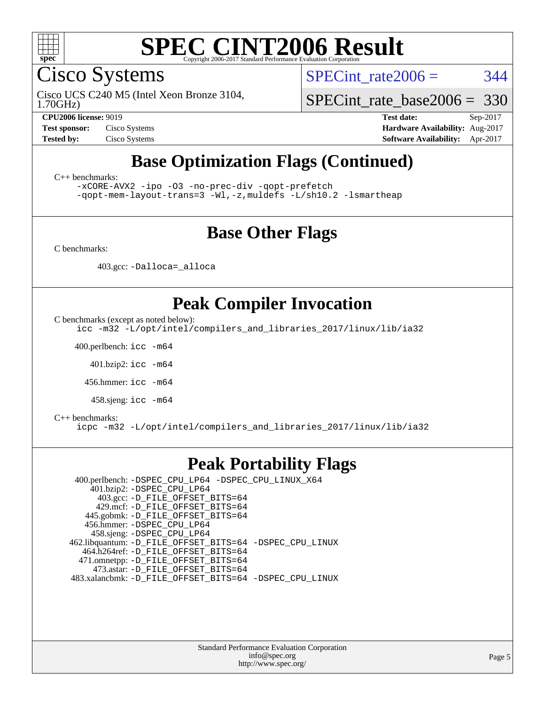

Cisco Systems

1.70GHz) Cisco UCS C240 M5 (Intel Xeon Bronze 3104, SPECint rate $2006 = 344$ 

[SPECint\\_rate\\_base2006 =](http://www.spec.org/auto/cpu2006/Docs/result-fields.html#SPECintratebase2006) 330

**[CPU2006 license:](http://www.spec.org/auto/cpu2006/Docs/result-fields.html#CPU2006license)** 9019 **[Test date:](http://www.spec.org/auto/cpu2006/Docs/result-fields.html#Testdate)** Sep-2017 **[Test sponsor:](http://www.spec.org/auto/cpu2006/Docs/result-fields.html#Testsponsor)** Cisco Systems **[Hardware Availability:](http://www.spec.org/auto/cpu2006/Docs/result-fields.html#HardwareAvailability)** Aug-2017 **[Tested by:](http://www.spec.org/auto/cpu2006/Docs/result-fields.html#Testedby)** Cisco Systems **[Software Availability:](http://www.spec.org/auto/cpu2006/Docs/result-fields.html#SoftwareAvailability)** Apr-2017

# **[Base Optimization Flags \(Continued\)](http://www.spec.org/auto/cpu2006/Docs/result-fields.html#BaseOptimizationFlags)**

[C++ benchmarks:](http://www.spec.org/auto/cpu2006/Docs/result-fields.html#CXXbenchmarks)

[-xCORE-AVX2](http://www.spec.org/cpu2006/results/res2017q4/cpu2006-20170919-50243.flags.html#user_CXXbase_f-xCORE-AVX2) [-ipo](http://www.spec.org/cpu2006/results/res2017q4/cpu2006-20170919-50243.flags.html#user_CXXbase_f-ipo) [-O3](http://www.spec.org/cpu2006/results/res2017q4/cpu2006-20170919-50243.flags.html#user_CXXbase_f-O3) [-no-prec-div](http://www.spec.org/cpu2006/results/res2017q4/cpu2006-20170919-50243.flags.html#user_CXXbase_f-no-prec-div) [-qopt-prefetch](http://www.spec.org/cpu2006/results/res2017q4/cpu2006-20170919-50243.flags.html#user_CXXbase_f-qopt-prefetch) [-qopt-mem-layout-trans=3](http://www.spec.org/cpu2006/results/res2017q4/cpu2006-20170919-50243.flags.html#user_CXXbase_f-qopt-mem-layout-trans_170f5be61cd2cedc9b54468c59262d5d) [-Wl,-z,muldefs](http://www.spec.org/cpu2006/results/res2017q4/cpu2006-20170919-50243.flags.html#user_CXXbase_link_force_multiple1_74079c344b956b9658436fd1b6dd3a8a) [-L/sh10.2 -lsmartheap](http://www.spec.org/cpu2006/results/res2017q4/cpu2006-20170919-50243.flags.html#user_CXXbase_SmartHeap_b831f2d313e2fffa6dfe3f00ffc1f1c0)

### **[Base Other Flags](http://www.spec.org/auto/cpu2006/Docs/result-fields.html#BaseOtherFlags)**

[C benchmarks](http://www.spec.org/auto/cpu2006/Docs/result-fields.html#Cbenchmarks):

403.gcc: [-Dalloca=\\_alloca](http://www.spec.org/cpu2006/results/res2017q4/cpu2006-20170919-50243.flags.html#b403.gcc_baseEXTRA_CFLAGS_Dalloca_be3056838c12de2578596ca5467af7f3)

## **[Peak Compiler Invocation](http://www.spec.org/auto/cpu2006/Docs/result-fields.html#PeakCompilerInvocation)**

[C benchmarks \(except as noted below\)](http://www.spec.org/auto/cpu2006/Docs/result-fields.html#Cbenchmarksexceptasnotedbelow):

[icc -m32 -L/opt/intel/compilers\\_and\\_libraries\\_2017/linux/lib/ia32](http://www.spec.org/cpu2006/results/res2017q4/cpu2006-20170919-50243.flags.html#user_CCpeak_intel_icc_c29f3ff5a7ed067b11e4ec10a03f03ae)

400.perlbench: [icc -m64](http://www.spec.org/cpu2006/results/res2017q4/cpu2006-20170919-50243.flags.html#user_peakCCLD400_perlbench_intel_icc_64bit_bda6cc9af1fdbb0edc3795bac97ada53)

401.bzip2: [icc -m64](http://www.spec.org/cpu2006/results/res2017q4/cpu2006-20170919-50243.flags.html#user_peakCCLD401_bzip2_intel_icc_64bit_bda6cc9af1fdbb0edc3795bac97ada53)

456.hmmer: [icc -m64](http://www.spec.org/cpu2006/results/res2017q4/cpu2006-20170919-50243.flags.html#user_peakCCLD456_hmmer_intel_icc_64bit_bda6cc9af1fdbb0edc3795bac97ada53)

458.sjeng: [icc -m64](http://www.spec.org/cpu2006/results/res2017q4/cpu2006-20170919-50243.flags.html#user_peakCCLD458_sjeng_intel_icc_64bit_bda6cc9af1fdbb0edc3795bac97ada53)

#### [C++ benchmarks:](http://www.spec.org/auto/cpu2006/Docs/result-fields.html#CXXbenchmarks)

[icpc -m32 -L/opt/intel/compilers\\_and\\_libraries\\_2017/linux/lib/ia32](http://www.spec.org/cpu2006/results/res2017q4/cpu2006-20170919-50243.flags.html#user_CXXpeak_intel_icpc_8c35c7808b62dab9ae41a1aa06361b6b)

### **[Peak Portability Flags](http://www.spec.org/auto/cpu2006/Docs/result-fields.html#PeakPortabilityFlags)**

 400.perlbench: [-DSPEC\\_CPU\\_LP64](http://www.spec.org/cpu2006/results/res2017q4/cpu2006-20170919-50243.flags.html#b400.perlbench_peakCPORTABILITY_DSPEC_CPU_LP64) [-DSPEC\\_CPU\\_LINUX\\_X64](http://www.spec.org/cpu2006/results/res2017q4/cpu2006-20170919-50243.flags.html#b400.perlbench_peakCPORTABILITY_DSPEC_CPU_LINUX_X64) 401.bzip2: [-DSPEC\\_CPU\\_LP64](http://www.spec.org/cpu2006/results/res2017q4/cpu2006-20170919-50243.flags.html#suite_peakCPORTABILITY401_bzip2_DSPEC_CPU_LP64) 403.gcc: [-D\\_FILE\\_OFFSET\\_BITS=64](http://www.spec.org/cpu2006/results/res2017q4/cpu2006-20170919-50243.flags.html#user_peakPORTABILITY403_gcc_file_offset_bits_64_438cf9856305ebd76870a2c6dc2689ab) 429.mcf: [-D\\_FILE\\_OFFSET\\_BITS=64](http://www.spec.org/cpu2006/results/res2017q4/cpu2006-20170919-50243.flags.html#user_peakPORTABILITY429_mcf_file_offset_bits_64_438cf9856305ebd76870a2c6dc2689ab) 445.gobmk: [-D\\_FILE\\_OFFSET\\_BITS=64](http://www.spec.org/cpu2006/results/res2017q4/cpu2006-20170919-50243.flags.html#user_peakPORTABILITY445_gobmk_file_offset_bits_64_438cf9856305ebd76870a2c6dc2689ab) 456.hmmer: [-DSPEC\\_CPU\\_LP64](http://www.spec.org/cpu2006/results/res2017q4/cpu2006-20170919-50243.flags.html#suite_peakCPORTABILITY456_hmmer_DSPEC_CPU_LP64) 458.sjeng: [-DSPEC\\_CPU\\_LP64](http://www.spec.org/cpu2006/results/res2017q4/cpu2006-20170919-50243.flags.html#suite_peakCPORTABILITY458_sjeng_DSPEC_CPU_LP64) 462.libquantum: [-D\\_FILE\\_OFFSET\\_BITS=64](http://www.spec.org/cpu2006/results/res2017q4/cpu2006-20170919-50243.flags.html#user_peakPORTABILITY462_libquantum_file_offset_bits_64_438cf9856305ebd76870a2c6dc2689ab) [-DSPEC\\_CPU\\_LINUX](http://www.spec.org/cpu2006/results/res2017q4/cpu2006-20170919-50243.flags.html#b462.libquantum_peakCPORTABILITY_DSPEC_CPU_LINUX) 464.h264ref: [-D\\_FILE\\_OFFSET\\_BITS=64](http://www.spec.org/cpu2006/results/res2017q4/cpu2006-20170919-50243.flags.html#user_peakPORTABILITY464_h264ref_file_offset_bits_64_438cf9856305ebd76870a2c6dc2689ab) 471.omnetpp: [-D\\_FILE\\_OFFSET\\_BITS=64](http://www.spec.org/cpu2006/results/res2017q4/cpu2006-20170919-50243.flags.html#user_peakPORTABILITY471_omnetpp_file_offset_bits_64_438cf9856305ebd76870a2c6dc2689ab) 473.astar: [-D\\_FILE\\_OFFSET\\_BITS=64](http://www.spec.org/cpu2006/results/res2017q4/cpu2006-20170919-50243.flags.html#user_peakPORTABILITY473_astar_file_offset_bits_64_438cf9856305ebd76870a2c6dc2689ab) 483.xalancbmk: [-D\\_FILE\\_OFFSET\\_BITS=64](http://www.spec.org/cpu2006/results/res2017q4/cpu2006-20170919-50243.flags.html#user_peakPORTABILITY483_xalancbmk_file_offset_bits_64_438cf9856305ebd76870a2c6dc2689ab) [-DSPEC\\_CPU\\_LINUX](http://www.spec.org/cpu2006/results/res2017q4/cpu2006-20170919-50243.flags.html#b483.xalancbmk_peakCXXPORTABILITY_DSPEC_CPU_LINUX)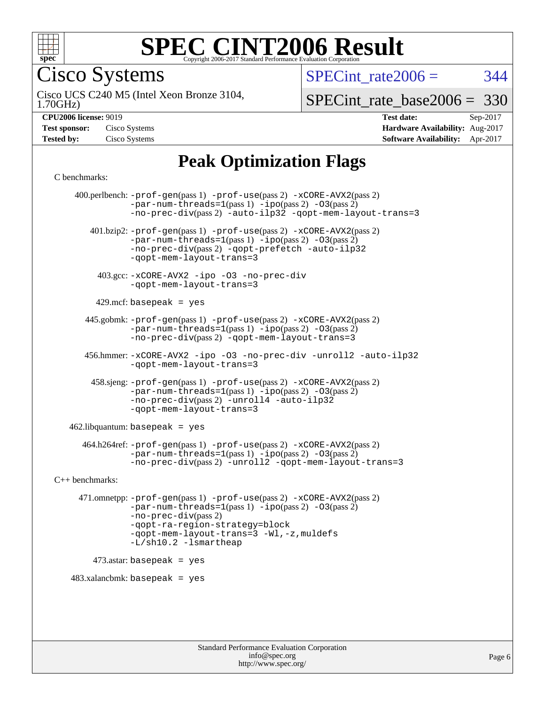

Cisco Systems

SPECint rate $2006 = 344$ 

1.70GHz) Cisco UCS C240 M5 (Intel Xeon Bronze 3104,

[SPECint\\_rate\\_base2006 =](http://www.spec.org/auto/cpu2006/Docs/result-fields.html#SPECintratebase2006) 330

| <b>Test sponsor:</b> | Cisco Systems |
|----------------------|---------------|
| <b>Tested by:</b>    | Cisco Systems |

#### **[CPU2006 license:](http://www.spec.org/auto/cpu2006/Docs/result-fields.html#CPU2006license)** 9019 **[Test date:](http://www.spec.org/auto/cpu2006/Docs/result-fields.html#Testdate)** Sep-2017 **[Hardware Availability:](http://www.spec.org/auto/cpu2006/Docs/result-fields.html#HardwareAvailability)** Aug-2017 **[Software Availability:](http://www.spec.org/auto/cpu2006/Docs/result-fields.html#SoftwareAvailability)** Apr-2017

## **[Peak Optimization Flags](http://www.spec.org/auto/cpu2006/Docs/result-fields.html#PeakOptimizationFlags)**

#### [C benchmarks](http://www.spec.org/auto/cpu2006/Docs/result-fields.html#Cbenchmarks):

 400.perlbench: [-prof-gen](http://www.spec.org/cpu2006/results/res2017q4/cpu2006-20170919-50243.flags.html#user_peakPASS1_CFLAGSPASS1_LDCFLAGS400_perlbench_prof_gen_e43856698f6ca7b7e442dfd80e94a8fc)(pass 1) [-prof-use](http://www.spec.org/cpu2006/results/res2017q4/cpu2006-20170919-50243.flags.html#user_peakPASS2_CFLAGSPASS2_LDCFLAGS400_perlbench_prof_use_bccf7792157ff70d64e32fe3e1250b55)(pass 2) [-xCORE-AVX2](http://www.spec.org/cpu2006/results/res2017q4/cpu2006-20170919-50243.flags.html#user_peakPASS2_CFLAGSPASS2_LDCFLAGS400_perlbench_f-xCORE-AVX2)(pass 2)  $-par-num-threads=1(pass 1) -ipo(pass 2) -O3(pass 2)$  $-par-num-threads=1(pass 1) -ipo(pass 2) -O3(pass 2)$  $-par-num-threads=1(pass 1) -ipo(pass 2) -O3(pass 2)$  $-par-num-threads=1(pass 1) -ipo(pass 2) -O3(pass 2)$  $-par-num-threads=1(pass 1) -ipo(pass 2) -O3(pass 2)$  $-par-num-threads=1(pass 1) -ipo(pass 2) -O3(pass 2)$ [-no-prec-div](http://www.spec.org/cpu2006/results/res2017q4/cpu2006-20170919-50243.flags.html#user_peakPASS2_CFLAGSPASS2_LDCFLAGS400_perlbench_f-no-prec-div)(pass 2) [-auto-ilp32](http://www.spec.org/cpu2006/results/res2017q4/cpu2006-20170919-50243.flags.html#user_peakCOPTIMIZE400_perlbench_f-auto-ilp32) [-qopt-mem-layout-trans=3](http://www.spec.org/cpu2006/results/res2017q4/cpu2006-20170919-50243.flags.html#user_peakCOPTIMIZE400_perlbench_f-qopt-mem-layout-trans_170f5be61cd2cedc9b54468c59262d5d) 401.bzip2: [-prof-gen](http://www.spec.org/cpu2006/results/res2017q4/cpu2006-20170919-50243.flags.html#user_peakPASS1_CFLAGSPASS1_LDCFLAGS401_bzip2_prof_gen_e43856698f6ca7b7e442dfd80e94a8fc)(pass 1) [-prof-use](http://www.spec.org/cpu2006/results/res2017q4/cpu2006-20170919-50243.flags.html#user_peakPASS2_CFLAGSPASS2_LDCFLAGS401_bzip2_prof_use_bccf7792157ff70d64e32fe3e1250b55)(pass 2) [-xCORE-AVX2](http://www.spec.org/cpu2006/results/res2017q4/cpu2006-20170919-50243.flags.html#user_peakPASS2_CFLAGSPASS2_LDCFLAGS401_bzip2_f-xCORE-AVX2)(pass 2)  $-par-num-threads=1(pass 1) -ipo(pass 2) -O3(pass 2)$  $-par-num-threads=1(pass 1) -ipo(pass 2) -O3(pass 2)$  $-par-num-threads=1(pass 1) -ipo(pass 2) -O3(pass 2)$  $-par-num-threads=1(pass 1) -ipo(pass 2) -O3(pass 2)$  $-par-num-threads=1(pass 1) -ipo(pass 2) -O3(pass 2)$  $-par-num-threads=1(pass 1) -ipo(pass 2) -O3(pass 2)$ [-no-prec-div](http://www.spec.org/cpu2006/results/res2017q4/cpu2006-20170919-50243.flags.html#user_peakPASS2_CFLAGSPASS2_LDCFLAGS401_bzip2_f-no-prec-div)(pass 2) [-qopt-prefetch](http://www.spec.org/cpu2006/results/res2017q4/cpu2006-20170919-50243.flags.html#user_peakCOPTIMIZE401_bzip2_f-qopt-prefetch) [-auto-ilp32](http://www.spec.org/cpu2006/results/res2017q4/cpu2006-20170919-50243.flags.html#user_peakCOPTIMIZE401_bzip2_f-auto-ilp32) [-qopt-mem-layout-trans=3](http://www.spec.org/cpu2006/results/res2017q4/cpu2006-20170919-50243.flags.html#user_peakCOPTIMIZE401_bzip2_f-qopt-mem-layout-trans_170f5be61cd2cedc9b54468c59262d5d) 403.gcc: [-xCORE-AVX2](http://www.spec.org/cpu2006/results/res2017q4/cpu2006-20170919-50243.flags.html#user_peakOPTIMIZE403_gcc_f-xCORE-AVX2) [-ipo](http://www.spec.org/cpu2006/results/res2017q4/cpu2006-20170919-50243.flags.html#user_peakOPTIMIZE403_gcc_f-ipo) [-O3](http://www.spec.org/cpu2006/results/res2017q4/cpu2006-20170919-50243.flags.html#user_peakOPTIMIZE403_gcc_f-O3) [-no-prec-div](http://www.spec.org/cpu2006/results/res2017q4/cpu2006-20170919-50243.flags.html#user_peakOPTIMIZE403_gcc_f-no-prec-div) [-qopt-mem-layout-trans=3](http://www.spec.org/cpu2006/results/res2017q4/cpu2006-20170919-50243.flags.html#user_peakCOPTIMIZE403_gcc_f-qopt-mem-layout-trans_170f5be61cd2cedc9b54468c59262d5d)  $429$ .mcf: basepeak = yes 445.gobmk: [-prof-gen](http://www.spec.org/cpu2006/results/res2017q4/cpu2006-20170919-50243.flags.html#user_peakPASS1_CFLAGSPASS1_LDCFLAGS445_gobmk_prof_gen_e43856698f6ca7b7e442dfd80e94a8fc)(pass 1) [-prof-use](http://www.spec.org/cpu2006/results/res2017q4/cpu2006-20170919-50243.flags.html#user_peakPASS2_CFLAGSPASS2_LDCFLAGSPASS2_LDFLAGS445_gobmk_prof_use_bccf7792157ff70d64e32fe3e1250b55)(pass 2) [-xCORE-AVX2](http://www.spec.org/cpu2006/results/res2017q4/cpu2006-20170919-50243.flags.html#user_peakPASS2_CFLAGSPASS2_LDCFLAGSPASS2_LDFLAGS445_gobmk_f-xCORE-AVX2)(pass 2)  $-par-num-threads=1(pass 1) -ipo(pass 2) -O3(pass 2)$  $-par-num-threads=1(pass 1) -ipo(pass 2) -O3(pass 2)$  $-par-num-threads=1(pass 1) -ipo(pass 2) -O3(pass 2)$  $-par-num-threads=1(pass 1) -ipo(pass 2) -O3(pass 2)$  $-par-num-threads=1(pass 1) -ipo(pass 2) -O3(pass 2)$  $-par-num-threads=1(pass 1) -ipo(pass 2) -O3(pass 2)$ [-no-prec-div](http://www.spec.org/cpu2006/results/res2017q4/cpu2006-20170919-50243.flags.html#user_peakPASS2_LDCFLAGS445_gobmk_f-no-prec-div)(pass 2) [-qopt-mem-layout-trans=3](http://www.spec.org/cpu2006/results/res2017q4/cpu2006-20170919-50243.flags.html#user_peakCOPTIMIZE445_gobmk_f-qopt-mem-layout-trans_170f5be61cd2cedc9b54468c59262d5d) 456.hmmer: [-xCORE-AVX2](http://www.spec.org/cpu2006/results/res2017q4/cpu2006-20170919-50243.flags.html#user_peakOPTIMIZE456_hmmer_f-xCORE-AVX2) [-ipo](http://www.spec.org/cpu2006/results/res2017q4/cpu2006-20170919-50243.flags.html#user_peakOPTIMIZE456_hmmer_f-ipo) [-O3](http://www.spec.org/cpu2006/results/res2017q4/cpu2006-20170919-50243.flags.html#user_peakOPTIMIZE456_hmmer_f-O3) [-no-prec-div](http://www.spec.org/cpu2006/results/res2017q4/cpu2006-20170919-50243.flags.html#user_peakOPTIMIZE456_hmmer_f-no-prec-div) [-unroll2](http://www.spec.org/cpu2006/results/res2017q4/cpu2006-20170919-50243.flags.html#user_peakCOPTIMIZE456_hmmer_f-unroll_784dae83bebfb236979b41d2422d7ec2) [-auto-ilp32](http://www.spec.org/cpu2006/results/res2017q4/cpu2006-20170919-50243.flags.html#user_peakCOPTIMIZE456_hmmer_f-auto-ilp32) [-qopt-mem-layout-trans=3](http://www.spec.org/cpu2006/results/res2017q4/cpu2006-20170919-50243.flags.html#user_peakCOPTIMIZE456_hmmer_f-qopt-mem-layout-trans_170f5be61cd2cedc9b54468c59262d5d) 458.sjeng: [-prof-gen](http://www.spec.org/cpu2006/results/res2017q4/cpu2006-20170919-50243.flags.html#user_peakPASS1_CFLAGSPASS1_LDCFLAGS458_sjeng_prof_gen_e43856698f6ca7b7e442dfd80e94a8fc)(pass 1) [-prof-use](http://www.spec.org/cpu2006/results/res2017q4/cpu2006-20170919-50243.flags.html#user_peakPASS2_CFLAGSPASS2_LDCFLAGS458_sjeng_prof_use_bccf7792157ff70d64e32fe3e1250b55)(pass 2) [-xCORE-AVX2](http://www.spec.org/cpu2006/results/res2017q4/cpu2006-20170919-50243.flags.html#user_peakPASS2_CFLAGSPASS2_LDCFLAGS458_sjeng_f-xCORE-AVX2)(pass 2)  $-par-num-threads=1(pass 1) -ipo(pass 2) -O3(pass 2)$  $-par-num-threads=1(pass 1) -ipo(pass 2) -O3(pass 2)$  $-par-num-threads=1(pass 1) -ipo(pass 2) -O3(pass 2)$  $-par-num-threads=1(pass 1) -ipo(pass 2) -O3(pass 2)$  $-par-num-threads=1(pass 1) -ipo(pass 2) -O3(pass 2)$  $-par-num-threads=1(pass 1) -ipo(pass 2) -O3(pass 2)$ [-no-prec-div](http://www.spec.org/cpu2006/results/res2017q4/cpu2006-20170919-50243.flags.html#user_peakPASS2_CFLAGSPASS2_LDCFLAGS458_sjeng_f-no-prec-div)(pass 2) [-unroll4](http://www.spec.org/cpu2006/results/res2017q4/cpu2006-20170919-50243.flags.html#user_peakCOPTIMIZE458_sjeng_f-unroll_4e5e4ed65b7fd20bdcd365bec371b81f) [-auto-ilp32](http://www.spec.org/cpu2006/results/res2017q4/cpu2006-20170919-50243.flags.html#user_peakCOPTIMIZE458_sjeng_f-auto-ilp32) [-qopt-mem-layout-trans=3](http://www.spec.org/cpu2006/results/res2017q4/cpu2006-20170919-50243.flags.html#user_peakCOPTIMIZE458_sjeng_f-qopt-mem-layout-trans_170f5be61cd2cedc9b54468c59262d5d)  $462$ .libquantum: basepeak = yes 464.h264ref: [-prof-gen](http://www.spec.org/cpu2006/results/res2017q4/cpu2006-20170919-50243.flags.html#user_peakPASS1_CFLAGSPASS1_LDCFLAGS464_h264ref_prof_gen_e43856698f6ca7b7e442dfd80e94a8fc)(pass 1) [-prof-use](http://www.spec.org/cpu2006/results/res2017q4/cpu2006-20170919-50243.flags.html#user_peakPASS2_CFLAGSPASS2_LDCFLAGS464_h264ref_prof_use_bccf7792157ff70d64e32fe3e1250b55)(pass 2) [-xCORE-AVX2](http://www.spec.org/cpu2006/results/res2017q4/cpu2006-20170919-50243.flags.html#user_peakPASS2_CFLAGSPASS2_LDCFLAGS464_h264ref_f-xCORE-AVX2)(pass 2) [-par-num-threads=1](http://www.spec.org/cpu2006/results/res2017q4/cpu2006-20170919-50243.flags.html#user_peakPASS1_CFLAGSPASS1_LDCFLAGS464_h264ref_par_num_threads_786a6ff141b4e9e90432e998842df6c2)(pass 1) [-ipo](http://www.spec.org/cpu2006/results/res2017q4/cpu2006-20170919-50243.flags.html#user_peakPASS2_CFLAGSPASS2_LDCFLAGS464_h264ref_f-ipo)(pass 2) [-O3](http://www.spec.org/cpu2006/results/res2017q4/cpu2006-20170919-50243.flags.html#user_peakPASS2_CFLAGSPASS2_LDCFLAGS464_h264ref_f-O3)(pass 2) [-no-prec-div](http://www.spec.org/cpu2006/results/res2017q4/cpu2006-20170919-50243.flags.html#user_peakPASS2_CFLAGSPASS2_LDCFLAGS464_h264ref_f-no-prec-div)(pass 2) [-unroll2](http://www.spec.org/cpu2006/results/res2017q4/cpu2006-20170919-50243.flags.html#user_peakCOPTIMIZE464_h264ref_f-unroll_784dae83bebfb236979b41d2422d7ec2) [-qopt-mem-layout-trans=3](http://www.spec.org/cpu2006/results/res2017q4/cpu2006-20170919-50243.flags.html#user_peakCOPTIMIZE464_h264ref_f-qopt-mem-layout-trans_170f5be61cd2cedc9b54468c59262d5d) [C++ benchmarks:](http://www.spec.org/auto/cpu2006/Docs/result-fields.html#CXXbenchmarks) 471.omnetpp: [-prof-gen](http://www.spec.org/cpu2006/results/res2017q4/cpu2006-20170919-50243.flags.html#user_peakPASS1_CXXFLAGSPASS1_LDCXXFLAGS471_omnetpp_prof_gen_e43856698f6ca7b7e442dfd80e94a8fc)(pass 1) [-prof-use](http://www.spec.org/cpu2006/results/res2017q4/cpu2006-20170919-50243.flags.html#user_peakPASS2_CXXFLAGSPASS2_LDCXXFLAGS471_omnetpp_prof_use_bccf7792157ff70d64e32fe3e1250b55)(pass 2) [-xCORE-AVX2](http://www.spec.org/cpu2006/results/res2017q4/cpu2006-20170919-50243.flags.html#user_peakPASS2_CXXFLAGSPASS2_LDCXXFLAGS471_omnetpp_f-xCORE-AVX2)(pass 2)  $-par-num-threads=1(pass 1) -ipo(pass 2) -O3(pass 2)$  $-par-num-threads=1(pass 1) -ipo(pass 2) -O3(pass 2)$  $-par-num-threads=1(pass 1) -ipo(pass 2) -O3(pass 2)$  $-par-num-threads=1(pass 1) -ipo(pass 2) -O3(pass 2)$  $-par-num-threads=1(pass 1) -ipo(pass 2) -O3(pass 2)$  $-par-num-threads=1(pass 1) -ipo(pass 2) -O3(pass 2)$ [-no-prec-div](http://www.spec.org/cpu2006/results/res2017q4/cpu2006-20170919-50243.flags.html#user_peakPASS2_CXXFLAGSPASS2_LDCXXFLAGS471_omnetpp_f-no-prec-div)(pass 2) [-qopt-ra-region-strategy=block](http://www.spec.org/cpu2006/results/res2017q4/cpu2006-20170919-50243.flags.html#user_peakCXXOPTIMIZE471_omnetpp_f-qopt-ra-region-strategy_430aa8f7c220cbde92ae827fa8d9be32)  [-qopt-mem-layout-trans=3](http://www.spec.org/cpu2006/results/res2017q4/cpu2006-20170919-50243.flags.html#user_peakCXXOPTIMIZE471_omnetpp_f-qopt-mem-layout-trans_170f5be61cd2cedc9b54468c59262d5d) [-Wl,-z,muldefs](http://www.spec.org/cpu2006/results/res2017q4/cpu2006-20170919-50243.flags.html#user_peakEXTRA_LDFLAGS471_omnetpp_link_force_multiple1_74079c344b956b9658436fd1b6dd3a8a) [-L/sh10.2 -lsmartheap](http://www.spec.org/cpu2006/results/res2017q4/cpu2006-20170919-50243.flags.html#user_peakEXTRA_LIBS471_omnetpp_SmartHeap_b831f2d313e2fffa6dfe3f00ffc1f1c0) 473.astar: basepeak = yes  $483.xalanchmk: basepeak = yes$